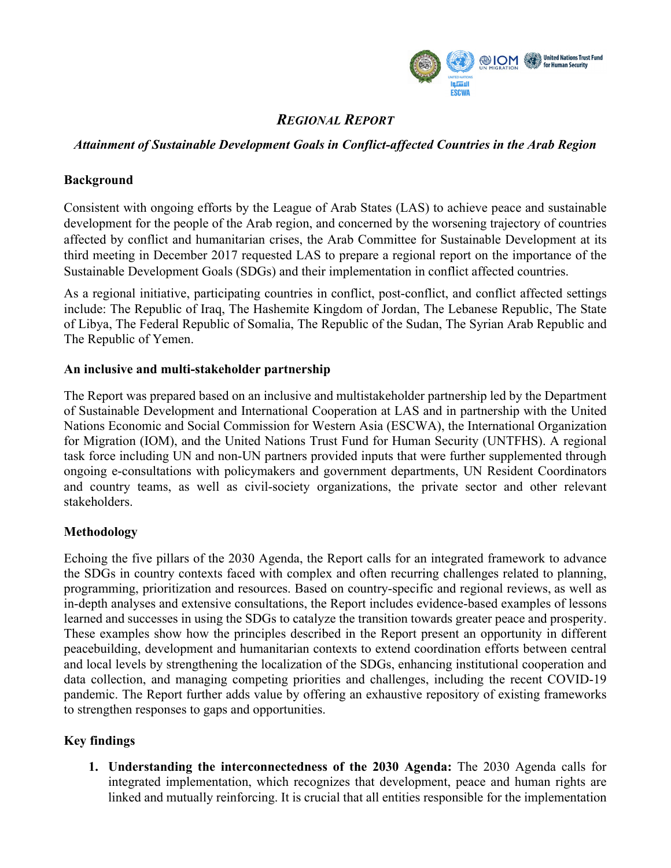

# *REGIONAL REPORT*

# *Attainment of Sustainable Development Goals in Conflict-affected Countries in the Arab Region*

## **Background**

Consistent with ongoing efforts by the League of Arab States (LAS) to achieve peace and sustainable development for the people of the Arab region, and concerned by the worsening trajectory of countries affected by conflict and humanitarian crises, the Arab Committee for Sustainable Development at its third meeting in December 2017 requested LAS to prepare a regional report on the importance of the Sustainable Development Goals (SDGs) and their implementation in conflict affected countries.

As a regional initiative, participating countries in conflict, post-conflict, and conflict affected settings include: The Republic of Iraq, The Hashemite Kingdom of Jordan, The Lebanese Republic, The State of Libya, The Federal Republic of Somalia, The Republic of the Sudan, The Syrian Arab Republic and The Republic of Yemen.

#### **An inclusive and multi-stakeholder partnership**

The Report was prepared based on an inclusive and multistakeholder partnership led by the Department of Sustainable Development and International Cooperation at LAS and in partnership with the United Nations Economic and Social Commission for Western Asia (ESCWA), the International Organization for Migration (IOM), and the United Nations Trust Fund for Human Security (UNTFHS). A regional task force including UN and non-UN partners provided inputs that were further supplemented through ongoing e-consultations with policymakers and government departments, UN Resident Coordinators and country teams, as well as civil-society organizations, the private sector and other relevant stakeholders.

## **Methodology**

Echoing the five pillars of the 2030 Agenda, the Report calls for an integrated framework to advance the SDGs in country contexts faced with complex and often recurring challenges related to planning, programming, prioritization and resources. Based on country-specific and regional reviews, as well as in-depth analyses and extensive consultations, the Report includes evidence-based examples of lessons learned and successes in using the SDGs to catalyze the transition towards greater peace and prosperity. These examples show how the principles described in the Report present an opportunity in different peacebuilding, development and humanitarian contexts to extend coordination efforts between central and local levels by strengthening the localization of the SDGs, enhancing institutional cooperation and data collection, and managing competing priorities and challenges, including the recent COVID-19 pandemic. The Report further adds value by offering an exhaustive repository of existing frameworks to strengthen responses to gaps and opportunities.

## **Key findings**

**1. Understanding the interconnectedness of the 2030 Agenda:** The 2030 Agenda calls for integrated implementation, which recognizes that development, peace and human rights are linked and mutually reinforcing. It is crucial that all entities responsible for the implementation